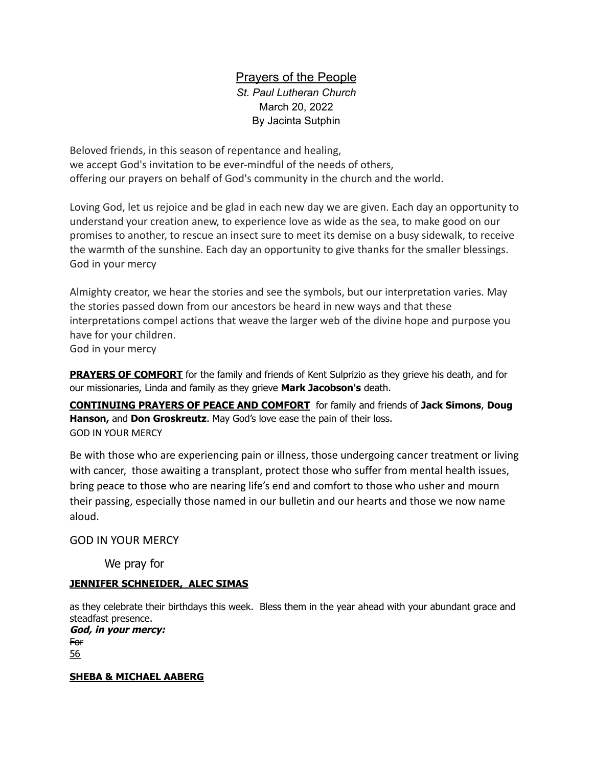# Prayers of the People

*St. Paul Lutheran Church* March 20, 2022 By Jacinta Sutphin

Beloved friends, in this season of repentance and healing, we accept God's invitation to be ever-mindful of the needs of others, offering our prayers on behalf of God's community in the church and the world.

Loving God, let us rejoice and be glad in each new day we are given. Each day an opportunity to understand your creation anew, to experience love as wide as the sea, to make good on our promises to another, to rescue an insect sure to meet its demise on a busy sidewalk, to receive the warmth of the sunshine. Each day an opportunity to give thanks for the smaller blessings. God in your mercy

Almighty creator, we hear the stories and see the symbols, but our interpretation varies. May the stories passed down from our ancestors be heard in new ways and that these interpretations compel actions that weave the larger web of the divine hope and purpose you have for your children.

God in your mercy

**PRAYERS OF COMFORT** for the family and friends of Kent Sulprizio as they grieve his death, and for our missionaries, Linda and family as they grieve **Mark Jacobson's** death.

**CONTINUING PRAYERS OF PEACE AND COMFORT** for family and friends of **Jack Simons**, **Doug Hanson,** and **Don Groskreutz**. May God's love ease the pain of their loss. GOD IN YOUR MERCY

Be with those who are experiencing pain or illness, those undergoing cancer treatment or living with cancer, those awaiting a transplant, protect those who suffer from mental health issues, bring peace to those who are nearing life's end and comfort to those who usher and mourn their passing, especially those named in our bulletin and our hearts and those we now name aloud.

## GOD IN YOUR MERCY

We pray for

## **JENNIFER SCHNEIDER, ALEC SIMAS**

as they celebrate their birthdays this week. Bless them in the year ahead with your abundant grace and steadfast presence.

**God, in your mercy:** For 56

## **SHEBA & MICHAEL AABERG**